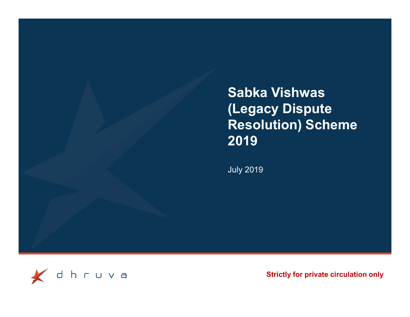Sabka Vishwas (Legacy Dispute Resolution) Scheme 2019

July 2019



Strictly for private circulation only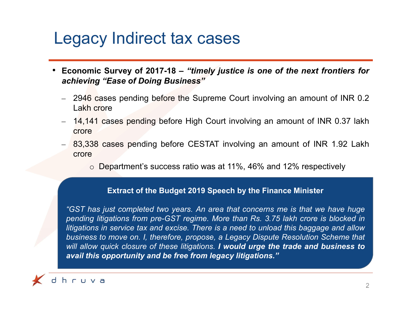### Legacy Indirect tax cases

- Legacy Indirect tax cases<br>• Economic Survey of 2017-18 "timely justice is one of the next frontiers for<br>• 2946 cases pending before the Supreme Court involving an amount of INR 0.2 achieving "Ease of Doing Business"<br>
Economic Survey of 2017-18 – "timely justice is one of the next frontiers for<br>
achieving "Ease of Doing Business"<br>
– 2946 cases pending before the Supreme Court involving an amount of IN gacy Indirect tax cases<br>
momic Survey of 2017-18 – "timely justice is on<br>
ineving "Ease of Doing Business"<br>
2946 cases pending before the Supreme Court inv<br>
Lakh crore<br>
14,141 cases pending before High Court involving<br>
cro **ECON Indirect tax cases**<br> **ECONDITE 14,141** cases pending before the Supreme Court involving an amount of INR 0.2<br>
- 2946 cases pending before the Supreme Court involving an amount of INR 0.2<br>
- 14,141 cases pending be CECTRIM SURVENT BE SECTAT involving an amount of INR 0.2<br>
Economic Survey of 2017-18 – "timely justice is one of the next frontiers for<br>
2946 cases pending before the Supreme Court involving an amount of INR 0.2<br>
Lakh cro CY INCIFECT TAX CASES<br>
Inic Survey of 2017-18 – "timely justice is one of the next frontiers for<br>
ing "Ease of Doing Business"<br>
So cases pending before the Supreme Court involving an amount of INR 0.2<br>
1 crore<br>
41 cases pe
	-
	- crore
	- crore
		-

#### Extract of the Budget 2019 Speech by the Finance Minister

Chieving "Ease of Doing Business"<br>
2946 cases pending before the Supreme Court involving an amount of INR 0.2<br>
Lakh crore<br>
14,141 cases pending before High Court involving an amount of INR 0.37 lakh<br>
crore<br>
83,338 cases pe 2946 cases pending before the Supreme Court involving an amount of INR 0.2<br>
Lakh crore<br>
14,141 cases pending before High Court involving an amount of INR 0.37 lakh<br>
crore<br>
83,338 cases pending before CESTAT involving an a 2946 cases pending before the Supreme Court involving an amount of INR 0.2<br>
14,141 cases pending before High Court involving an amount of INR 0.37 lakh<br>
crore<br>
come<br>
come before CESTAT involving an amount of INR 1.92 Lakh Lakh crore<br>
14,141 cases pending before High Court involving an amount of INR 0.37 lakh<br>
crore<br>
83,338 cases pending before CESTAT involving an amount of INR 1.92 Lakh<br>
crore<br>  $\circ$  Department's success ratio was at 11%, 4 14,141 cases pending before High Court involving an amount of INR 0.37 lakh<br>
crore<br>
83,338 cases pending before CESTAT involving an amount of INR 1.92 Lakh<br>
crore<br> **Department's success ratio was at 11%, 46% and 12% respe** THIT LASS BEHOLD BEFORE THIS USER THANDED AND START THAN THE CODE<br>
S3,338 cases pending before CESTAT involving an amount of INR 1.92 Lakh<br>
crore<br>  $\circ$  Department's success ratio was at 11%, 46% and 12% respectively<br>
Extr

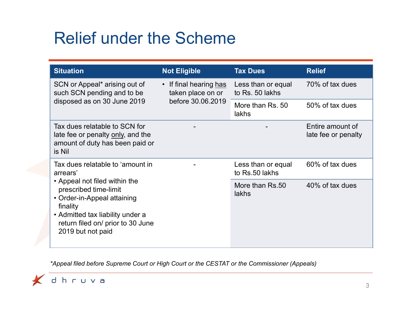# Relief under the Scheme

|                                                                                                                                                                                                                                                 | <b>Relief under the Scheme</b>              |                                       |                                         |
|-------------------------------------------------------------------------------------------------------------------------------------------------------------------------------------------------------------------------------------------------|---------------------------------------------|---------------------------------------|-----------------------------------------|
| <b>Situation</b>                                                                                                                                                                                                                                | <b>Not Eligible</b>                         | <b>Tax Dues</b>                       | <b>Relief</b>                           |
| SCN or Appeal* arising out of<br>such SCN pending and to be                                                                                                                                                                                     | • If final hearing has<br>taken place on or | Less than or equal<br>to Rs. 50 lakhs | 70% of tax dues                         |
| disposed as on 30 June 2019                                                                                                                                                                                                                     | before 30.06.2019                           | More than Rs. 50<br>lakhs             | 50% of tax dues                         |
| Tax dues relatable to SCN for<br>late fee or penalty only, and the<br>amount of duty has been paid or<br>is Nil                                                                                                                                 |                                             |                                       | Entire amount of<br>late fee or penalty |
| Tax dues relatable to 'amount in<br>arrears'<br>• Appeal not filed within the<br>prescribed time-limit<br>• Order-in-Appeal attaining<br>finality<br>• Admitted tax liability under a<br>return filed on/ prior to 30 June<br>2019 but not paid |                                             | Less than or equal<br>to Rs.50 lakhs  | 60% of tax dues                         |
|                                                                                                                                                                                                                                                 |                                             | More than Rs.50<br>lakhs              | 40% of tax dues                         |

\*Appeal filed before Supreme Court or High Court or the CESTAT or the Commissioner (Appeals)

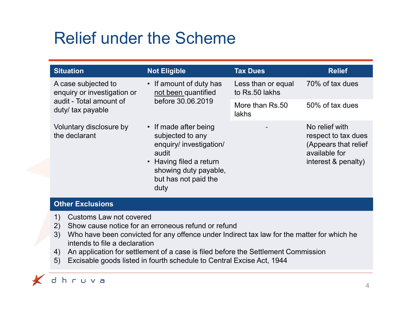# Relief under the Scheme

| • If amount of duty has<br>70% of tax dues<br>A case subjected to<br>Less than or equal<br>not been quantified<br>enquiry or investigation or<br>to Rs.50 lakhs<br>audit - Total amount of<br>before 30.06.2019<br>More than Rs.50<br>50% of tax dues<br>duty/ tax payable<br>lakhs<br>No relief with<br>Voluntary disclosure by<br>• If made after being<br>the declarant<br>subjected to any<br>enquiry/ investigation/<br>available for<br>audit<br>• Having filed a return<br>showing duty payable,<br>but has not paid the<br>duty | <b>Situation</b> | <b>Not Eligible</b> | <b>Tax Dues</b> | <b>Relief</b>                                                      |
|-----------------------------------------------------------------------------------------------------------------------------------------------------------------------------------------------------------------------------------------------------------------------------------------------------------------------------------------------------------------------------------------------------------------------------------------------------------------------------------------------------------------------------------------|------------------|---------------------|-----------------|--------------------------------------------------------------------|
|                                                                                                                                                                                                                                                                                                                                                                                                                                                                                                                                         |                  |                     |                 |                                                                    |
|                                                                                                                                                                                                                                                                                                                                                                                                                                                                                                                                         |                  |                     |                 |                                                                    |
|                                                                                                                                                                                                                                                                                                                                                                                                                                                                                                                                         |                  |                     |                 | respect to tax dues<br>(Appears that relief<br>interest & penalty) |
| <b>Other Exclusions</b>                                                                                                                                                                                                                                                                                                                                                                                                                                                                                                                 |                  |                     |                 |                                                                    |

- 
- 

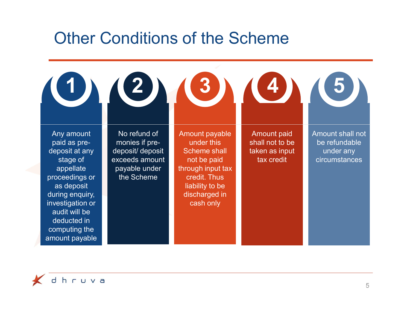## Other Conditions of the Scheme

| $\left( 0\right)$                                                                                                                                                                                               | $\mathbf{Z}_{\lambda}$                                                                             | <b>Other Conditions of the Scheme</b><br>3)                                                                                                              | $\left( 4\right)$                                                     |                                                                        |
|-----------------------------------------------------------------------------------------------------------------------------------------------------------------------------------------------------------------|----------------------------------------------------------------------------------------------------|----------------------------------------------------------------------------------------------------------------------------------------------------------|-----------------------------------------------------------------------|------------------------------------------------------------------------|
| Any amount<br>paid as pre-<br>deposit at any<br>stage of<br>appellate<br>proceedings or<br>as deposit<br>during enquiry,<br>investigation or<br>audit will be<br>deducted in<br>computing the<br>amount payable | No refund of<br>monies if pre-<br>deposit/deposit<br>exceeds amount<br>payable under<br>the Scheme | Amount payable<br>under this<br><b>Scheme shall</b><br>not be paid<br>through input tax<br>credit. Thus<br>liability to be<br>discharged in<br>cash only | <b>Amount paid</b><br>shall not to be<br>taken as input<br>tax credit | Amount shall not<br>be refundable<br>under any<br><b>circumstances</b> |

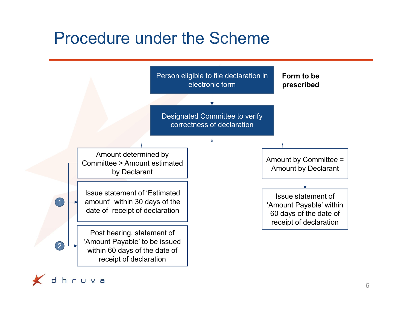## Procedure under the Scheme



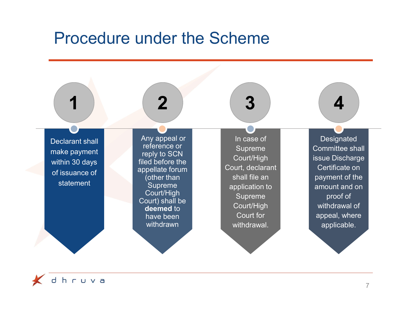#### Procedure under the Scheme



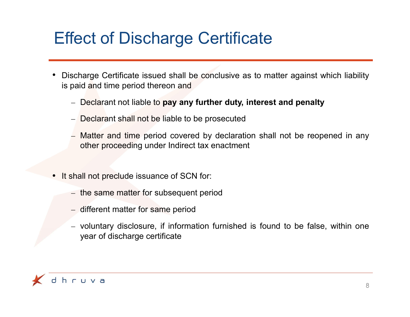# Effect of Discharge Certificate

- Effect of Discharge Certificate<br>• Discharge Certificate issued shall be conclusive as to matter against which liability<br>is paid and time period thereon and<br>- Declarant not liable to pay any further duty, interest and penal **Effect of Discharge Certificate**<br>Discharge Certificate issued shall be conclusive as to matter against which lis<br>paid and time period thereon and<br>- Declarant not liable to **pay any further duty, interest and penalty**<br>- De Fect of Discharge Certificate<br>
scharge Certificate issued shall be conclusive as to matter against which liability<br>
paid and time period thereon and<br>
- Declarant not liable to **pay any further duty, interest and penalty**<br> • Discharge Certificate issued shall be conclusive as to matter against which liability<br>is paid and time period thereon and<br>— Declarant not liable to **pay any further duty, interest and penalty**<br>— Declarant shall not be li
	-
	-
	- Fect of Discharge Certificate<br>
	scharge certificate issued shall be conclusive as to matter against which liability<br>
	and and time period thereon and<br>
	 Declarant not liable to pay any further duty, interest and penalty<br>
	 D Fect of Discharge Certificate<br>
	scharge certificate issued shall be conclusive as to matter against which liability<br>
	- Declarant not liable to **pay any further duty, interest and penalty**<br>
	- Declarant shall not be liable to Ct of Discharge Certificate<br>
	Marge Certificate issued shall be conclusive as to matter against which liability<br>
	d and time period thereon and<br>
	Declarant not liable to **pay any further duty, interest and penalty**<br>
	Declarant scharge Certificate issued shall be conclusive as to matter against which<br>aid and time period thereon and<br>— Declarant shall not be liable to be prosecuted<br>— Matter and time period covered by declaration shall not be reopen — Declarant not liable to **pay any further duty, interest and penalty**<br>
	— Declarant shall not be liable to be prosecuted<br>
	— Matter and time period covered by declaration shall not be reopened in any<br>
	other proceeding under Declarant not habie to **pay any further duty, interest and penal**<br>Declarant shall not be liable to be prosecuted<br>Matter and time period covered by declaration shall not be reach<br>other proceeding under Indirect tax enactmen
- -
	-
	-

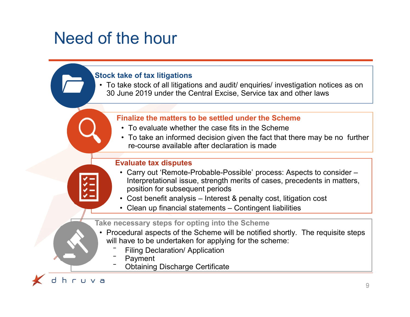## Need of the hour



**heta**<br>**heta**<br>**heta**<br>**heta**<br>**condita**<br>**inalize the matters to be settled under the Scheme**<br>• To evaluate whether the case fits in the Scheme<br>• To take an informed decision given the fact that there may be re-course availab **Formal Star and Star and Star and Star and Star and Star and Star and Star and Star and Star and Star and Other laws**<br> **Exception 1998 under the Central Excise, Service tax and other laws**<br>
• To evaluate whether the case of the hour<br>
• To take of tax litigations<br>
• To take stock of all litigations and audit/ enquiries/ investigation notices as on<br>
30 June 2019 under the Central Excise, Service tax and other laws<br>
Finalize the matters to be 30 June 2019 under the Central Excise, Service tax and other laws

#### Finalize the matters to be settled under the Scheme

- 
- re-course available after declaration is made

#### Evaluate tax disputes

- FIP TIOUT<br>
 Carry out in this carry of the state of the state of the state stock of all litigations and audit/ enquiries/ investigation notices as on<br>
 Carry out all linguitions and audit/ enquiries/ investigation notice Interpretational issue, strength merits of cases, precedents in matters, position for subsequent periods **Example 15 and 15 and 16 and 16 and 16 and 16 and 16 and 16 and 16 and 16 and 16 and 16 and 16 and 16 and 16 and 16 and 16 and 16 and 16 and 16 and 16 and 16 and 16 and 16 and 16 and 16 and 16 and 16 and 16 and 16 and 16** ake of tax litigations<br>
ake stock of all litigations and audit/ enquiries/ investigation notices as on<br>
une 2019 under the Central Excise, Service tax and other laws<br>
<br>
inalize the matters to be settled under the Scheme<br>
• Finalize the matters to be settled under the Scheme<br>
• To evaluate whether the case fits in the Scheme<br>
• To take an informed decision given the fact that there may be no further<br>
re-course available after declaration is Finalize the matters to be settled under the Schem<br>
• To evaluate whether the case fits in the Scheme<br>
• To take an informed decision given the fact that the<br>
re-course available after declaration is made<br> **Evaluate tax d** • To evaluate whether the case fits in the Scheme<br>• To take an informed decision given the fact that th<br>re-course available after declaration is made<br>**Evaluate tax disputes**<br>• Carry out 'Remote-Probable-Possible' process: • To take an informed decision given the fact that the re-course available after declaration is made<br>
Evaluate tax disputes<br>
• Carry out 'Remote-Probable-Possible' process: As<br>
Interpretational issue, strength merits of
	-
	-

#### Take necessary steps for opting into the Scheme

- will have to be undertaken for applying for the scheme:
	-
	-
	-

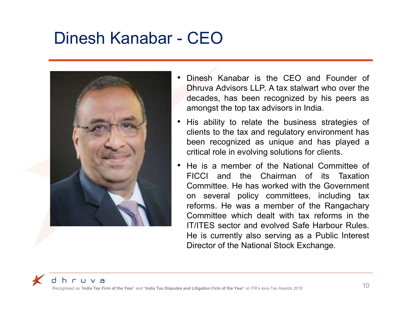# Dinesh Kanabar - CEO



- **CEO**<br>• Dinesh Kanabar is the CEO and Founder of Dhruva Advisors LLP. A tax stalwart who over the decades, has been recognized by his peers as amongst the top tax advisors in India. CEO<br>Dinesh Kanabar is the CEO and Founder of<br>Dhruva Advisors LLP. A tax stalwart who over the<br>decades, has been recognized by his peers as<br>amongst the top tax advisors in India.<br>His ability to relate the business strategie CEO<br>Dinesh Kanabar is the CEO and Founder of<br>Dhruva Advisors LLP. A tax stalwart who over the<br>decades, has been recognized by his peers as<br>amongst the top tax advisors in India.<br>His ability to relate the business strategie CEO<br>
Dinesh Kanabar is the CEO and Founder of<br>
Dhruva Advisors LLP. A tax stalwart who over the<br>
decades, has been recognized by his peers as<br>
amongst the top tax advisors in India.<br>
His ability to relate the business stra • CEO<br>• Dinesh Kanabar is the CEO and Founder of<br>Dhruva Advisors LLP. A tax stalwart who over the<br>decades, has been recognized by his peers as<br>amongst the top tax advisors in India.<br>• His ability to relate the business str **CEO**<br>
Dinesh Kanabar is the CEO and Founder of<br>
Dhruva Advisors LLP. A tax stalwart who over the<br>
decades, has been recognized by his peers as<br>
amongst the top tax advisors in India.<br>
His ability to relate the business st **CEO**<br>
Dinesh Kanabar is the CEO and Founder of<br>
Dhruva Advisors LLP. A tax stalwart who over the<br>
decades, has been recognized by his peers as<br>
amongst the top tax advisors in India.<br>
His ability to relate the business st **CEO**<br>
Dinesh Kanabar is the CEO and Founder of<br>
Dhruva Advisors LLP. A tax stalwart who over the<br>
decades, has been recognized by his peers as<br>
amongst the top tax advisors in India.<br>
His ability to relate the business st
- 
- CEO<br>
 Dinesh Kanabar is the CEO and Founder of<br>
Dhruva Advisors LLP. A tax stalwart who over the<br>
decades, has been recognized by his peers as<br>
amongst the top tax advisors in India.<br>
 His ability to relate the busines Dinesh Kanabar is the CEO and Founder of<br>Dhruva Advisors LLP. A tax stalwart who over the<br>decades, has been recognized by his peers as<br>amongst the top tax advisors in India.<br>His ability to relate the business strategies of Dinesh Kanabar is the CEO and Founder of<br>Dhruva Advisors LLP. A tax stalwart who over the<br>decades, has been recognized by his peers as<br>amongst the top tax advisors in India.<br>His ability to relate the business strategies of Dinesh Kanabar is the CEO and Founder of<br>Dhruva Advisors LLP. A tax stalwart who over the<br>decades, has been recognized by his peers as<br>amongst the top tax advisors in India.<br>His ability to relate the business strategies of Dinesh Kanabar is the CEO and Founder of<br>Dhruva Advisors LLP. A tax stalwart who over the<br>decades, has been recognized by his peers as<br>amongst the top tax advisors in India.<br>His ability to relate the business strategies of Dhruva Advisors LLP. A tax stalwart who over the decades, has been recognized by his peers as amongst the top tax advisors in India.<br>His ability to relate the business strategies of clients to the tax and regulatory enviro decades, has been recognized by his peers as<br>amongst the top tax advisors in India.<br>His ability to relate the business strategies of<br>clients to the tax and regulatory environment has<br>been recognized as unique and has playe amongst the top tax advisors in India.<br>His ability to relate the business strategies of<br>clients to the tax and regulatory environment has<br>been recognized as unique and has played a<br>critical role in evolving solutions for c His ability to relate the business strategies of<br>clients to the tax and regulatory environment has<br>been recognized as unique and has played a<br>critical role in evolving solutions for clients.<br>He is a member of the National

Recognised as "India Tax Firm of the Year" and "India Tax Disputes and Litigation Firm of the Year" at ITR's Asia Tax Awards 2018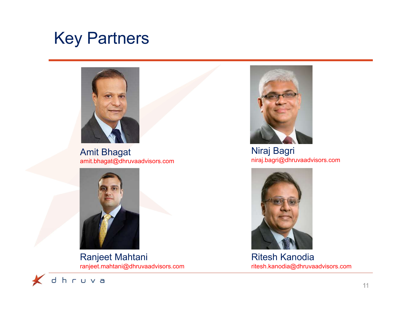## Key Partners



Amit Bhagat amit.bhagat@dhruvaadvisors.com



Ranjeet Mahtani ranjeet.mahtani@dhruvaadvisors.com



Niraj Bagri niraj.bagri@dhruvaadvisors.com



Ritesh Kanodia ritesh.kanodia@dhruvaadvisors.com

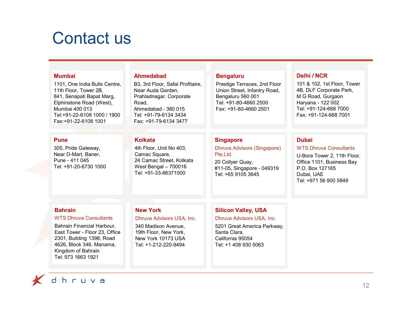## Contact us

| Contact us                                                                                                                                                                                                          |                                                                                                                                                                    |                                                                                                                                                    |                                                                                                                                                     |
|---------------------------------------------------------------------------------------------------------------------------------------------------------------------------------------------------------------------|--------------------------------------------------------------------------------------------------------------------------------------------------------------------|----------------------------------------------------------------------------------------------------------------------------------------------------|-----------------------------------------------------------------------------------------------------------------------------------------------------|
|                                                                                                                                                                                                                     |                                                                                                                                                                    |                                                                                                                                                    |                                                                                                                                                     |
| <b>Mumbai</b>                                                                                                                                                                                                       | <b>Ahmedabad</b>                                                                                                                                                   | <b>Bengaluru</b>                                                                                                                                   | <b>Delhi / NCR</b>                                                                                                                                  |
| 1101, One India Bulls Centre,<br>11th Floor, Tower 2B,<br>841, Senapati Bapat Marg,<br>Elphinstone Road (West),<br>Mumbai 400 013<br>Tel:+91-22-6108 1000 / 1900<br>Fax:+91-22-6108 1001                            | B3, 3rd Floor, Safal Profitaire,<br>Near Auda Garden,<br>Prahladnagar, Corporate<br>Road,<br>Ahmedabad - 380 015<br>Tel: +91-79-6134 3434<br>Fax: +91-79-6134 3477 | Prestige Terraces, 2nd Floor<br>Union Street, Infantry Road,<br>Bengaluru 560 001<br>Tel: +91-80-4660 2500<br>Fax: +91-80-4660 2501                | 101 & 102, 1st Floor, Tower<br>4B, DLF Corporate Park,<br>M G Road, Gurgaon<br>Haryana - 122 002<br>Tel: +91-124-668 7000<br>Fax: +91-124-668 7001  |
| <b>Pune</b>                                                                                                                                                                                                         | <b>Kolkata</b>                                                                                                                                                     | <b>Singapore</b>                                                                                                                                   | <b>Dubai</b>                                                                                                                                        |
| 305, Pride Gateway,<br>Near D-Mart, Baner,<br>Pune - 411 045<br>Tel: +91-20-6730 1000                                                                                                                               | 4th Floor, Unit No 403,<br>Camac Square,<br>24 Camac Street, Kolkata<br>West Bengal - 700016<br>Tel: +91-33-66371000                                               | <b>Dhruva Advisors (Singapore)</b><br>Pte.Ltd.<br>20 Collyer Quay,<br>#11-05, Singapore - 049319<br>Tel: +65 9105 3645                             | <b>WTS Dhruva Consultants</b><br>U-Bora Tower 2, 11th Floor,<br>Office 1101, Business Bay<br>P.O. Box 127165<br>Dubai, UAE<br>Tel: +971 56 900 5849 |
|                                                                                                                                                                                                                     |                                                                                                                                                                    |                                                                                                                                                    |                                                                                                                                                     |
| <b>Bahrain</b><br><b>WTS Dhruva Consultants</b><br>Bahrain Financial Harbour,<br>East Tower - Floor 23, Office<br>2301, Building 1398, Road<br>4626, Block 346. Manama,<br>Kingdom of Bahrain<br>Tel: 973 1663 1921 | <b>New York</b><br>Dhruva Advisors USA, Inc.<br>340 Madison Avenue,<br>19th Floor, New York,<br>New York 10173 USA<br>Tel: +1-212-220-9494                         | <b>Silicon Valley, USA</b><br>Dhruva Advisors USA, Inc.<br>5201 Great America Parkway,<br>Santa Clara,<br>California 95054<br>Tel: +1 408 930 5063 |                                                                                                                                                     |